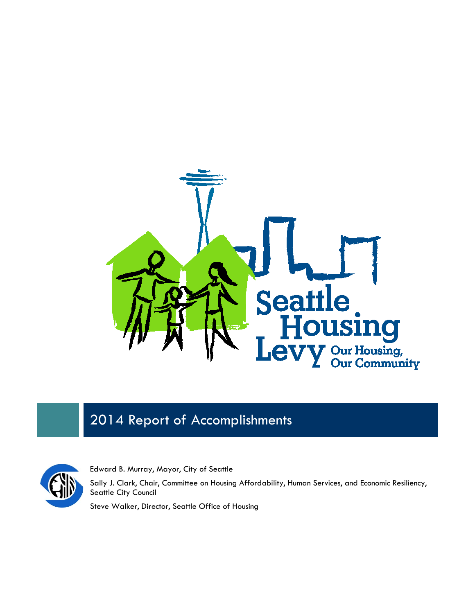

# 2014 Report of Accomplishments



Edward B. Murray, Mayor, City of Seattle

Sally J. Clark, Chair, Committee on Housing Affordability, Human Services, and Economic Resiliency, Seattle City Council

Steve Walker, Director, Seattle Office of Housing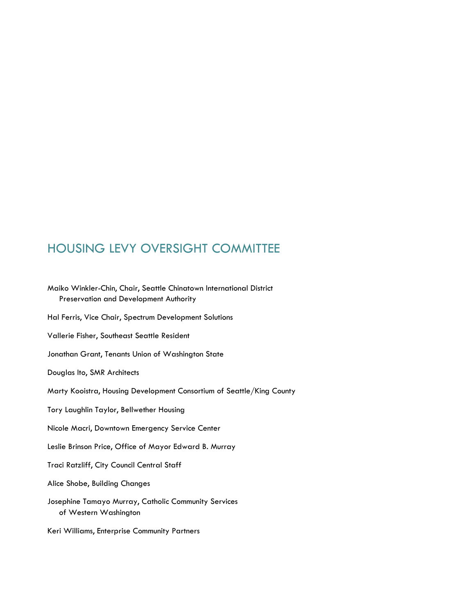## HOUSING LEVY OVERSIGHT COMMITTEE

Maiko Winkler-Chin, Chair, Seattle Chinatown International District Preservation and Development Authority Hal Ferris, Vice Chair, Spectrum Development Solutions Vallerie Fisher, Southeast Seattle Resident Jonathan Grant, Tenants Union of Washington State Douglas Ito, SMR Architects Marty Kooistra, Housing Development Consortium of Seattle/King County Tory Laughlin Taylor, Bellwether Housing Nicole Macri, Downtown Emergency Service Center Leslie Brinson Price, Office of Mayor Edward B. Murray Traci Ratzliff, City Council Central Staff Alice Shobe, Building Changes Josephine Tamayo Murray, Catholic Community Services of Western Washington Keri Williams, Enterprise Community Partners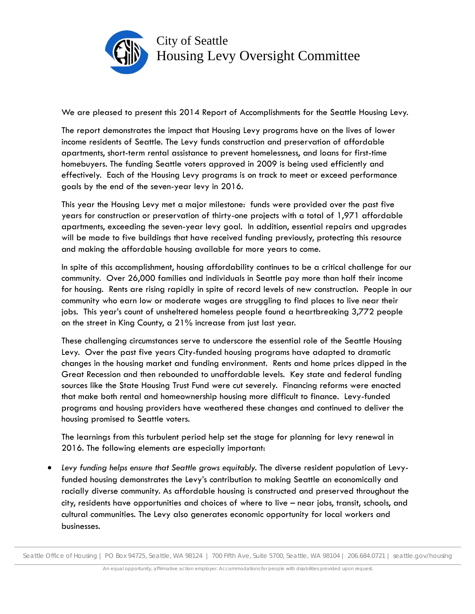

We are pleased to present this 2014 Report of Accomplishments for the Seattle Housing Levy.

The report demonstrates the impact that Housing Levy programs have on the lives of lower income residents of Seattle. The Levy funds construction and preservation of affordable apartments, short-term rental assistance to prevent homelessness, and loans for first-time homebuyers. The funding Seattle voters approved in 2009 is being used efficiently and effectively. Each of the Housing Levy programs is on track to meet or exceed performance goals by the end of the seven-year levy in 2016.

This year the Housing Levy met a major milestone: funds were provided over the past five years for construction or preservation of thirty-one projects with a total of 1,971 affordable apartments, exceeding the seven-year levy goal. In addition, essential repairs and upgrades will be made to five buildings that have received funding previously, protecting this resource and making the affordable housing available for more years to come.

In spite of this accomplishment, housing affordability continues to be a critical challenge for our community. Over 26,000 families and individuals in Seattle pay more than half their income for housing. Rents are rising rapidly in spite of record levels of new construction. People in our community who earn low or moderate wages are struggling to find places to live near their jobs. This year's count of unsheltered homeless people found a heartbreaking 3,772 people on the street in King County, a 21% increase from just last year.

These challenging circumstances serve to underscore the essential role of the Seattle Housing Levy. Over the past five years City-funded housing programs have adapted to dramatic changes in the housing market and funding environment. Rents and home prices dipped in the Great Recession and then rebounded to unaffordable levels. Key state and federal funding sources like the State Housing Trust Fund were cut severely. Financing reforms were enacted that make both rental and homeownership housing more difficult to finance. Levy-funded programs and housing providers have weathered these changes and continued to deliver the housing promised to Seattle voters.

The learnings from this turbulent period help set the stage for planning for levy renewal in 2016. The following elements are especially important:

• Levy funding helps ensure that Seattle grows equitably. The diverse resident population of Levyfunded housing demonstrates the Levy's contribution to making Seattle an economically and racially diverse community. As affordable housing is constructed and preserved throughout the city, residents have opportunities and choices of where to live – near jobs, transit, schools, and cultural communities. The Levy also generates economic opportunity for local workers and businesses.

Seattle Office of Housing | PO Box 94725, Seattle, WA 98124 | 700 Fifth Ave, Suite 5700, Seattle, WA 98104 | 206.684.0721 | seattle.gov/housing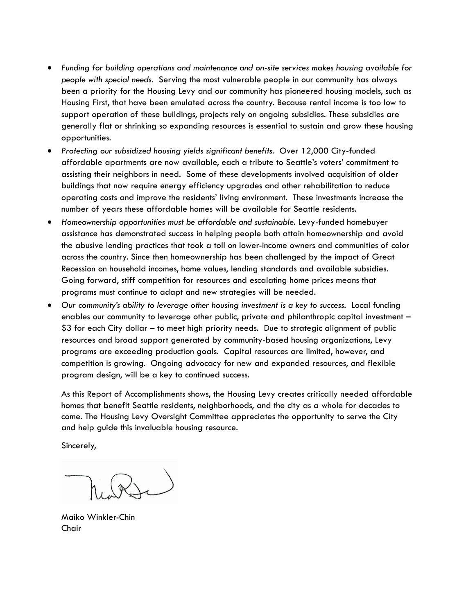- *Funding for building operations and maintenance and on-site services makes housing available for people with special needs.* Serving the most vulnerable people in our community has always been a priority for the Housing Levy and our community has pioneered housing models, such as Housing First, that have been emulated across the country. Because rental income is too low to support operation of these buildings, projects rely on ongoing subsidies. These subsidies are generally flat or shrinking so expanding resources is essential to sustain and grow these housing opportunities.
- Protecting our subsidized housing yields significant benefits. Over 12,000 City-funded affordable apartments are now available, each a tribute to Seattle's voters' commitment to assisting their neighbors in need. Some of these developments involved acquisition of older buildings that now require energy efficiency upgrades and other rehabilitation to reduce operating costs and improve the residents' living environment. These investments increase the number of years these affordable homes will be available for Seattle residents.
- *Homeownership opportunities must be affordable and sustainable.* Levy-funded homebuyer assistance has demonstrated success in helping people both attain homeownership and avoid the abusive lending practices that took a toll on lower-income owners and communities of color across the country. Since then homeownership has been challenged by the impact of Great Recession on household incomes, home values, lending standards and available subsidies. Going forward, stiff competition for resources and escalating home prices means that programs must continue to adapt and new strategies will be needed.
- Our community's ability to leverage other housing investment is a key to success. Local funding enables our community to leverage other public, private and philanthropic capital investment – \$3 for each City dollar – to meet high priority needs. Due to strategic alignment of public resources and broad support generated by community-based housing organizations, Levy programs are exceeding production goals. Capital resources are limited, however, and competition is growing. Ongoing advocacy for new and expanded resources, and flexible program design, will be a key to continued success.

As this Report of Accomplishments shows, the Housing Levy creates critically needed affordable homes that benefit Seattle residents, neighborhoods, and the city as a whole for decades to come. The Housing Levy Oversight Committee appreciates the opportunity to serve the City and help guide this invaluable housing resource.

Sincerely,

Maiko Winkler-Chin Chair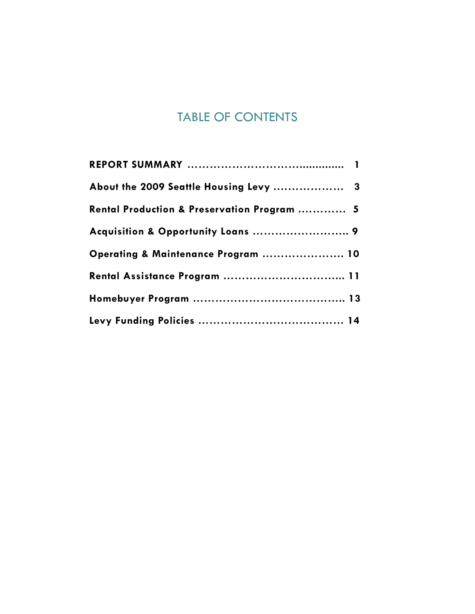## TABLE OF CONTENTS

| About the 2009 Seattle Housing Levy  3      |  |
|---------------------------------------------|--|
| Rental Production & Preservation Program  5 |  |
| Acquisition & Opportunity Loans  9          |  |
| Operating & Maintenance Program  10         |  |
| Rental Assistance Program  11               |  |
|                                             |  |
|                                             |  |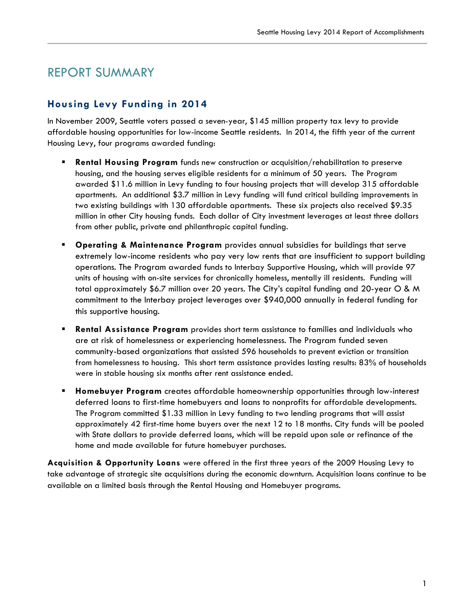## REPORT SUMMARY

## **Housing Levy Funding in 2014**

In November 2009, Seattle voters passed a seven-year, \$145 million property tax levy to provide affordable housing opportunities for low-income Seattle residents. In 2014, the fifth year of the current Housing Levy, four programs awarded funding:

- **Rental Housing Program** funds new construction or acquisition/rehabilitation to preserve housing, and the housing serves eligible residents for a minimum of 50 years. The Program awarded \$11.6 million in Levy funding to four housing projects that will develop 315 affordable apartments. An additional \$3.7 million in Levy funding will fund critical building improvements in two existing buildings with 130 affordable apartments. These six projects also received \$9.35 million in other City housing funds. Each dollar of City investment leverages at least three dollars from other public, private and philanthropic capital funding.
- **Operating & Maintenance Program** provides annual subsidies for buildings that serve extremely low-income residents who pay very low rents that are insufficient to support building operations. The Program awarded funds to Interbay Supportive Housing, which will provide 97 units of housing with on-site services for chronically homeless, mentally ill residents. Funding will total approximately \$6.7 million over 20 years. The City's capital funding and 20-year O & M commitment to the Interbay project leverages over \$940,000 annually in federal funding for this supportive housing.
- **Rental Assistance Program** provides short term assistance to families and individuals who are at risk of homelessness or experiencing homelessness. The Program funded seven community-based organizations that assisted 596 households to prevent eviction or transition from homelessness to housing. This short term assistance provides lasting results: 83% of households were in stable housing six months after rent assistance ended.
- **Homebuyer Program** creates affordable homeownership opportunities through low-interest deferred loans to first-time homebuyers and loans to nonprofits for affordable developments. The Program committed \$1.33 million in Levy funding to two lending programs that will assist approximately 42 first-time home buyers over the next 12 to 18 months. City funds will be pooled with State dollars to provide deferred loans, which will be repaid upon sale or refinance of the home and made available for future homebuyer purchases.

**Acquisition & Opportunity Loans** were offered in the first three years of the 2009 Housing Levy to take advantage of strategic site acquisitions during the economic downturn. Acquisition loans continue to be available on a limited basis through the Rental Housing and Homebuyer programs.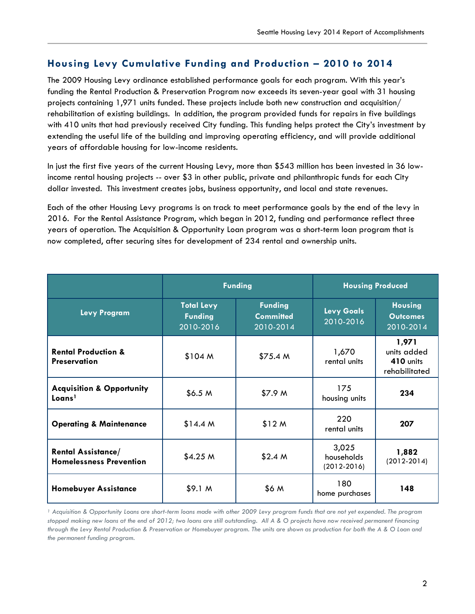### **Housing Levy Cumulative Funding and Production – 2010 to 2014**

The 2009 Housing Levy ordinance established performance goals for each program. With this year's funding the Rental Production & Preservation Program now exceeds its seven-year goal with 31 housing projects containing 1,971 units funded. These projects include both new construction and acquisition/ rehabilitation of existing buildings. In addition, the program provided funds for repairs in five buildings with 410 units that had previously received City funding. This funding helps protect the City's investment by extending the useful life of the building and improving operating efficiency, and will provide additional years of affordable housing for low-income residents.

In just the first five years of the current Housing Levy, more than \$543 million has been invested in 36 lowincome rental housing projects -- over \$3 in other public, private and philanthropic funds for each City dollar invested. This investment creates jobs, business opportunity, and local and state revenues.

Each of the other Housing Levy programs is on track to meet performance goals by the end of the levy in 2016. For the Rental Assistance Program, which began in 2012, funding and performance reflect three years of operation. The Acquisition & Opportunity Loan program was a short-term loan program that is now completed, after securing sites for development of 234 rental and ownership units.

|                                                             | <b>Funding</b>                                   |                                                 | <b>Housing Produced</b>                |                                                    |
|-------------------------------------------------------------|--------------------------------------------------|-------------------------------------------------|----------------------------------------|----------------------------------------------------|
| <b>Levy Program</b>                                         | <b>Total Levy</b><br><b>Funding</b><br>2010-2016 | <b>Funding</b><br><b>Committed</b><br>2010-2014 | <b>Levy Goals</b><br>2010-2016         | <b>Housing</b><br><b>Outcomes</b><br>2010-2014     |
| <b>Rental Production &amp;</b><br><b>Preservation</b>       | \$104 M                                          | \$75.4 M                                        | 1,670<br>rental units                  | 1,971<br>units added<br>410 units<br>rehabilitated |
| <b>Acquisition &amp; Opportunity</b><br>Loans <sup>1</sup>  | \$6.5 <sub>M</sub>                               | \$7.9 <sub>M</sub>                              | 175<br>housing units                   | 234                                                |
| <b>Operating &amp; Maintenance</b>                          | \$14.4 M                                         | \$12 M                                          | 220<br>rental units                    | 207                                                |
| <b>Rental Assistance/</b><br><b>Homelessness Prevention</b> | \$4.25 M                                         | \$2.4 <sub>M</sub>                              | 3,025<br>households<br>$(2012 - 2016)$ | 1,882<br>$(2012-2014)$                             |
| <b>Homebuyer Assistance</b>                                 | \$9.1 <sub>M</sub>                               | \$6 M                                           | 180<br>home purchases                  | 148                                                |

*<sup>1</sup> Acquisition & Opportunity Loans are short-term loans made with other 2009 Levy program funds that are not yet expended. The program stopped making new loans at the end of 2012; two loans are still outstanding. All A & O projects have now received permanent financing through the Levy Rental Production & Preservation or Homebuyer program. The units are shown as production for both the A & O Loan and the permanent funding program.*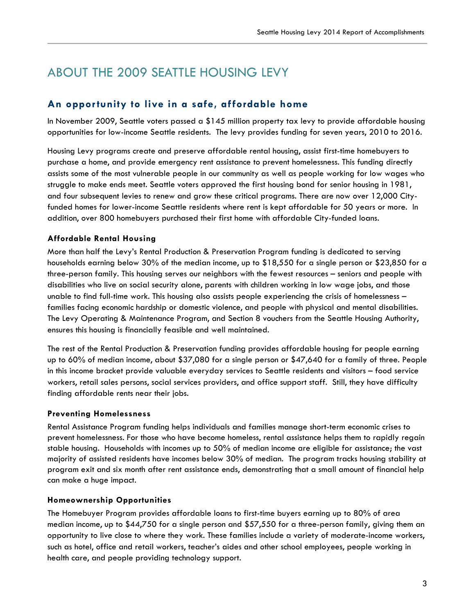## ABOUT THE 2009 SEATTLE HOUSING LEVY

### **An opportunity to live in a safe, affordable home**

In November 2009, Seattle voters passed a \$145 million property tax levy to provide affordable housing opportunities for low-income Seattle residents. The levy provides funding for seven years, 2010 to 2016.

Housing Levy programs create and preserve affordable rental housing, assist first-time homebuyers to purchase a home, and provide emergency rent assistance to prevent homelessness. This funding directly assists some of the most vulnerable people in our community as well as people working for low wages who struggle to make ends meet. Seattle voters approved the first housing bond for senior housing in 1981, and four subsequent levies to renew and grow these critical programs. There are now over 12,000 Cityfunded homes for lower-income Seattle residents where rent is kept affordable for 50 years or more. In addition, over 800 homebuyers purchased their first home with affordable City-funded loans.

#### **Affordable Rental Housing**

More than half the Levy's Rental Production & Preservation Program funding is dedicated to serving households earning below 30% of the median income, up to \$18,550 for a single person or \$23,850 for a three-person family. This housing serves our neighbors with the fewest resources – seniors and people with disabilities who live on social security alone, parents with children working in low wage jobs, and those unable to find full-time work. This housing also assists people experiencing the crisis of homelessness – families facing economic hardship or domestic violence, and people with physical and mental disabilities. The Levy Operating & Maintenance Program, and Section 8 vouchers from the Seattle Housing Authority, ensures this housing is financially feasible and well maintained.

The rest of the Rental Production & Preservation funding provides affordable housing for people earning up to 60% of median income, about \$37,080 for a single person or \$47,640 for a family of three. People in this income bracket provide valuable everyday services to Seattle residents and visitors – food service workers, retail sales persons, social services providers, and office support staff. Still, they have difficulty finding affordable rents near their jobs.

#### **Preventing Homelessness**

Rental Assistance Program funding helps individuals and families manage short-term economic crises to prevent homelessness. For those who have become homeless, rental assistance helps them to rapidly regain stable housing. Households with incomes up to 50% of median income are eligible for assistance; the vast majority of assisted residents have incomes below 30% of median. The program tracks housing stability at program exit and six month after rent assistance ends, demonstrating that a small amount of financial help can make a huge impact.

#### **Homeownership Opportunities**

The Homebuyer Program provides affordable loans to first-time buyers earning up to 80% of area median income, up to \$44,750 for a single person and \$57,550 for a three-person family, giving them an opportunity to live close to where they work. These families include a variety of moderate-income workers, such as hotel, office and retail workers, teacher's aides and other school employees, people working in health care, and people providing technology support.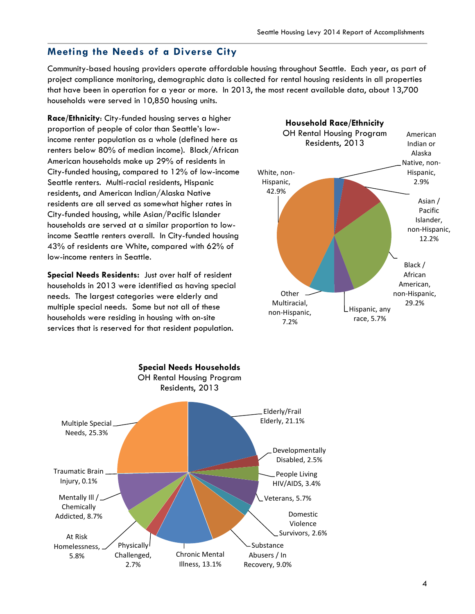### **Meeting the Needs of a Diverse City**

Community-based housing providers operate affordable housing throughout Seattle. Each year, as part of project compliance monitoring, demographic data is collected for rental housing residents in all properties that have been in operation for a year or more. In 2013, the most recent available data, about 13,700 households were served in 10,850 housing units.

**Race/Ethnicity**: City-funded housing serves a higher proportion of people of color than Seattle's lowincome renter population as a whole (defined here as renters below 80% of median income). Black/African American households make up 29% of residents in City-funded housing, compared to 12% of low-income Seattle renters. Multi-racial residents, Hispanic residents, and American Indian/Alaska Native residents are all served as somewhat higher rates in City-funded housing, while Asian/Pacific Islander households are served at a similar proportion to lowincome Seattle renters overall. In City-funded housing 43% of residents are White, compared with 62% of low-income renters in Seattle.

**Special Needs Residents:** Just over half of resident households in 2013 were identified as having special needs. The largest categories were elderly and multiple special needs. Some but not all of these households were residing in housing with on-site services that is reserved for that resident population.



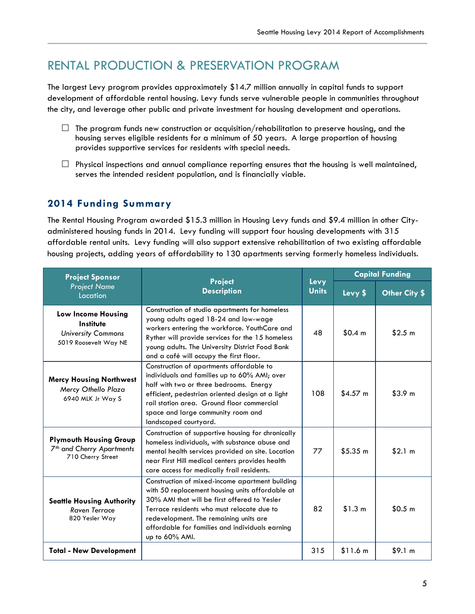## RENTAL PRODUCTION & PRESERVATION PROGRAM

The largest Levy program provides approximately \$14.7 million annually in capital funds to support development of affordable rental housing. Levy funds serve vulnerable people in communities throughout the city, and leverage other public and private investment for housing development and operations.

- $\Box$  The program funds new construction or acquisition/rehabilitation to preserve housing, and the housing serves eligible residents for a minimum of 50 years. A large proportion of housing provides supportive services for residents with special needs.
- $\Box$  Physical inspections and annual compliance reporting ensures that the housing is well maintained, serves the intended resident population, and is financially viable.

## **2014 Funding Summary**

The Rental Housing Program awarded \$15.3 million in Housing Levy funds and \$9.4 million in other Cityadministered housing funds in 2014. Levy funding will support four housing developments with 315 affordable rental units. Levy funding will also support extensive rehabilitation of two existing affordable housing projects, adding years of affordability to 130 apartments serving formerly homeless individuals.

| <b>Project Sponsor</b>                                                                      |                                                                                                                                                                                                                                                                                                                 |                      | <b>Capital Funding</b> |                    |
|---------------------------------------------------------------------------------------------|-----------------------------------------------------------------------------------------------------------------------------------------------------------------------------------------------------------------------------------------------------------------------------------------------------------------|----------------------|------------------------|--------------------|
| <b>Project</b><br><b>Project Name</b><br><b>Description</b><br>Location                     |                                                                                                                                                                                                                                                                                                                 | Levy<br><b>Units</b> | Levy \$                | Other City \$      |
| Low Income Housing<br>Institute<br><b>University Commons</b><br>5019 Roosevelt Way NE       | Construction of studio apartments for homeless<br>young adults aged 18-24 and low-wage<br>workers entering the workforce. YouthCare and<br>Ryther will provide services for the 15 homeless<br>young adults. The University District Food Bank<br>and a café will occupy the first floor.                       | 48                   | \$0.4 m                | \$2.5 m            |
| <b>Mercy Housing Northwest</b><br>Mercy Othello Plaza<br>6940 MLK Jr Way S                  | Construction of apartments affordable to<br>individuals and families up to 60% AMI; over<br>half with two or three bedrooms. Energy<br>efficient, pedestrian oriented design at a light<br>rail station area. Ground floor commercial<br>space and large community room and<br>landscaped courtyard.            | 108                  | $$4.57$ m              | \$3.9 <sub>m</sub> |
| <b>Plymouth Housing Group</b><br>7 <sup>th</sup> and Cherry Apartments<br>710 Cherry Street | Construction of supportive housing for chronically<br>homeless individuals, with substance abuse and<br>mental health services provided on site. Location<br>near First Hill medical centers provides health<br>care access for medically frail residents.                                                      | 77                   | \$5.35 m               | \$2.1 m            |
| <b>Seattle Housing Authority</b><br><b>Raven Terrace</b><br>820 Yesler Way                  | Construction of mixed-income apartment building<br>with 50 replacement housing units affordable at<br>30% AMI that will be first offered to Yesler<br>Terrace residents who must relocate due to<br>redevelopment. The remaining units are<br>affordable for families and individuals earning<br>up to 60% AMI. | 82                   | \$1.3 <sub>m</sub>     | \$0.5 m            |
| <b>Total - New Development</b>                                                              |                                                                                                                                                                                                                                                                                                                 | 315                  | \$11.6 m               | \$9.1 m            |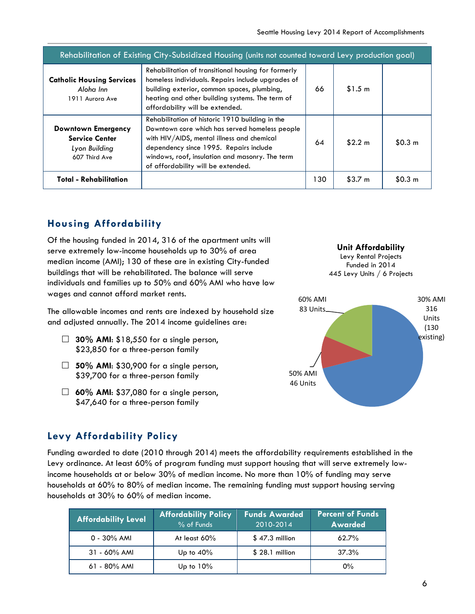| Rehabilitation of Existing City-Subsidized Housing (units not counted toward Levy production goal) |                                                                                                                                                                                                                                                                                    |     |                    |                    |
|----------------------------------------------------------------------------------------------------|------------------------------------------------------------------------------------------------------------------------------------------------------------------------------------------------------------------------------------------------------------------------------------|-----|--------------------|--------------------|
| <b>Catholic Housing Services</b><br>Aloha Inn<br>1911 Aurora Ave                                   | Rehabilitation of transitional housing for formerly<br>homeless individuals. Repairs include upgrades of<br>building exterior, common spaces, plumbing,<br>heating and other building systems. The term of<br>affordability will be extended.                                      | 66  | \$1.5 m            |                    |
| Downtown Emergency<br><b>Service Center</b><br>Lyon Building<br>607 Third Ave                      | Rehabilitation of historic 1910 building in the<br>Downtown core which has served homeless people<br>with HIV/AIDS, mental illness and chemical<br>dependency since 1995. Repairs include<br>windows, roof, insulation and masonry. The term<br>of affordability will be extended. | 64  | \$2.2 m            | \$0.3 <sub>m</sub> |
| <b>Total - Rehabilitation</b>                                                                      |                                                                                                                                                                                                                                                                                    | 130 | \$3.7 <sub>m</sub> | \$0.3 <sub>m</sub> |

## **Housing Affordability**

Of the housing funded in 2014, 316 of the apartment units will serve extremely low-income households up to 30% of area median income (AMI); 130 of these are in existing City-funded buildings that will be rehabilitated. The balance will serve individuals and families up to 50% and 60% AMI who have low wages and cannot afford market rents.

The allowable incomes and rents are indexed by household size and adjusted annually. The 2014 income guidelines are:

- $\Box$  **30% AMI:** \$18,550 for a single person, \$23,850 for a three-person family
- **50% AMI**: \$30,900 for a single person, \$39,700 for a three-person family
- $\Box$  **60% AMI:** \$37,080 for a single person, \$47,640 for a three-person family

#### **Unit Affordability**

Levy Rental Projects Funded in 2014 445 Levy Units / 6 Projects



## **Levy Affordability Policy**

Funding awarded to date (2010 through 2014) meets the affordability requirements established in the Levy ordinance. At least 60% of program funding must support housing that will serve extremely lowincome households at or below 30% of median income. No more than 10% of funding may serve households at 60% to 80% of median income. The remaining funding must support housing serving households at 30% to 60% of median income.

| <b>Affordability Level</b> | <b>Affordability Policy</b><br>% of Funds | <b>Funds Awarded</b><br>2010-2014 | <b>Percent of Funds</b><br>Awarded <sup>1</sup> |
|----------------------------|-------------------------------------------|-----------------------------------|-------------------------------------------------|
| $0 - 30\%$ AMI             | At least $60\%$                           | $$47.3$ million                   | $62.7\%$                                        |
| $31 - 60\%$ AMI            | Up to $40\%$                              | $$28.1$ million                   | 37.3%                                           |
| $61 - 80\%$ AMI            | Up to $10\%$                              |                                   | $0\%$                                           |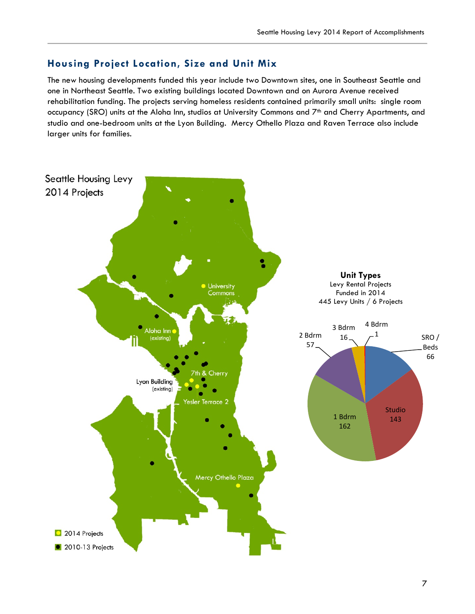### **Housing Project Location, Size and Unit Mix**

The new housing developments funded this year include two Downtown sites, one in Southeast Seattle and one in Northeast Seattle. Two existing buildings located Downtown and on Aurora Avenue received rehabilitation funding. The projects serving homeless residents contained primarily small units: single room occupancy (SRO) units at the Aloha Inn, studios at University Commons and 7<sup>th</sup> and Cherry Apartments, and studio and one-bedroom units at the Lyon Building. Mercy Othello Plaza and Raven Terrace also include larger units for families.

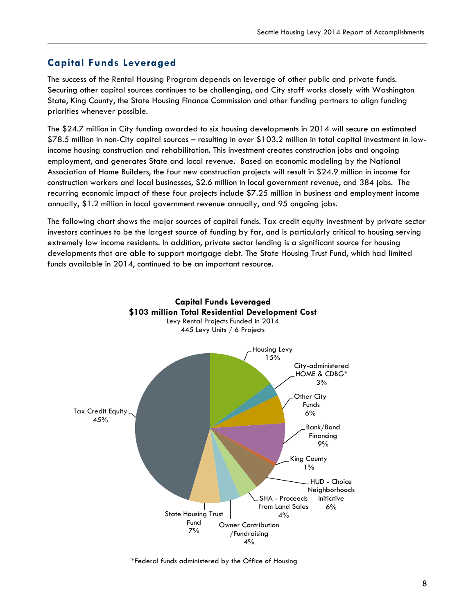#### **Capital Funds Leveraged**

The success of the Rental Housing Program depends on leverage of other public and private funds. Securing other capital sources continues to be challenging, and City staff works closely with Washington State, King County, the State Housing Finance Commission and other funding partners to align funding priorities whenever possible.

The \$24.7 million in City funding awarded to six housing developments in 2014 will secure an estimated \$78.5 million in non-City capital sources – resulting in over \$103.2 million in total capital investment in lowincome housing construction and rehabilitation. This investment creates construction jobs and ongoing employment, and generates State and local revenue. Based on economic modeling by the National Association of Home Builders, the four new construction projects will result in \$24.9 million in income for construction workers and local businesses, \$2.6 million in local government revenue, and 384 jobs. The recurring economic impact of these four projects include \$7.25 million in business and employment income annually, \$1.2 million in local government revenue annually, and 95 ongoing jobs.

The following chart shows the major sources of capital funds. Tax credit equity investment by private sector investors continues to be the largest source of funding by far, and is particularly critical to housing serving extremely low income residents. In addition, private sector lending is a significant source for housing developments that are able to support mortgage debt. The State Housing Trust Fund, which had limited funds available in 2014, continued to be an important resource.



\*Federal funds administered by the Office of Housing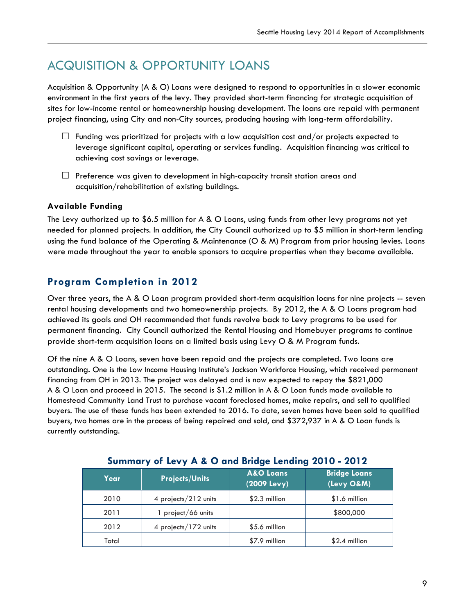## ACQUISITION & OPPORTUNITY LOANS

Acquisition & Opportunity (A & O) Loans were designed to respond to opportunities in a slower economic environment in the first years of the levy. They provided short-term financing for strategic acquisition of sites for low-income rental or homeownership housing development. The loans are repaid with permanent project financing, using City and non-City sources, producing housing with long-term affordability.

- $\Box$  Funding was prioritized for projects with a low acquisition cost and/or projects expected to leverage significant capital, operating or services funding. Acquisition financing was critical to achieving cost savings or leverage.
- $\Box$  Preference was given to development in high-capacity transit station areas and acquisition/rehabilitation of existing buildings.

#### **Available Funding**

The Levy authorized up to \$6.5 million for A & O Loans, using funds from other levy programs not yet needed for planned projects. In addition, the City Council authorized up to \$5 million in short-term lending using the fund balance of the Operating & Maintenance (O & M) Program from prior housing levies. Loans were made throughout the year to enable sponsors to acquire properties when they became available.

### **Program Completion in 2012**

Over three years, the A & O Loan program provided short-term acquisition loans for nine projects -- seven rental housing developments and two homeownership projects. By 2012, the A & O Loans program had achieved its goals and OH recommended that funds revolve back to Levy programs to be used for permanent financing. City Council authorized the Rental Housing and Homebuyer programs to continue provide short-term acquisition loans on a limited basis using Levy O & M Program funds.

Of the nine A & O Loans, seven have been repaid and the projects are completed. Two loans are outstanding. One is the Low Income Housing Institute's Jackson Workforce Housing, which received permanent financing from OH in 2013. The project was delayed and is now expected to repay the \$821,000 A & O Loan and proceed in 2015. The second is \$1.2 million in A & O Loan funds made available to Homestead Community Land Trust to purchase vacant foreclosed homes, make repairs, and sell to qualified buyers. The use of these funds has been extended to 2016. To date, seven homes have been sold to qualified buyers, two homes are in the process of being repaired and sold, and \$372,937 in A & O Loan funds is currently outstanding.

| Year  | <b>Projects/Units</b> | <b>A&amp;O Loans</b><br>(2009 Levy) | <b>Bridge Loans</b><br>(Levy O&M) |
|-------|-----------------------|-------------------------------------|-----------------------------------|
| 2010  | 4 projects/212 units  | \$2.3 million                       | \$1.6 million                     |
| 2011  | 1 project/66 units    |                                     | \$800,000                         |
| 2012  | 4 projects/172 units  | \$5.6 million                       |                                   |
| Total |                       | \$7.9 million                       | $$2.4$ million                    |

#### **Summary of Levy A & O and Bridge Lending 2010 - 2012**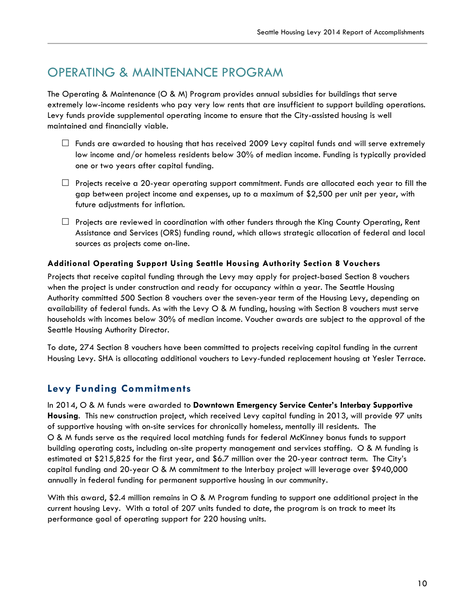## OPERATING & MAINTENANCE PROGRAM

The Operating & Maintenance (O & M) Program provides annual subsidies for buildings that serve extremely low-income residents who pay very low rents that are insufficient to support building operations. Levy funds provide supplemental operating income to ensure that the City-assisted housing is well maintained and financially viable.

- $\Box$  Funds are awarded to housing that has received 2009 Levy capital funds and will serve extremely low income and/or homeless residents below 30% of median income. Funding is typically provided one or two years after capital funding.
- $\Box$  Projects receive a 20-year operating support commitment. Funds are allocated each year to fill the gap between project income and expenses, up to a maximum of \$2,500 per unit per year, with future adjustments for inflation.
- $\Box$  Projects are reviewed in coordination with other funders through the King County Operating, Rent Assistance and Services (ORS) funding round, which allows strategic allocation of federal and local sources as projects come on-line.

#### **Additional Operating Support Using Seattle Housing Authority Section 8 Vouchers**

Projects that receive capital funding through the Levy may apply for project-based Section 8 vouchers when the project is under construction and ready for occupancy within a year. The Seattle Housing Authority committed 500 Section 8 vouchers over the seven-year term of the Housing Levy, depending on availability of federal funds. As with the Levy O & M funding, housing with Section 8 vouchers must serve households with incomes below 30% of median income. Voucher awards are subject to the approval of the Seattle Housing Authority Director.

To date, 274 Section 8 vouchers have been committed to projects receiving capital funding in the current Housing Levy. SHA is allocating additional vouchers to Levy-funded replacement housing at Yesler Terrace.

### **Levy Funding Commitments**

In 2014, O & M funds were awarded to **Downtown Emergency Service Center's Interbay Supportive Housing**. This new construction project, which received Levy capital funding in 2013, will provide 97 units of supportive housing with on-site services for chronically homeless, mentally ill residents. The O & M funds serve as the required local matching funds for federal McKinney bonus funds to support building operating costs, including on-site property management and services staffing. O & M funding is estimated at \$215,825 for the first year, and \$6.7 million over the 20-year contract term. The City's capital funding and 20-year O & M commitment to the Interbay project will leverage over \$940,000 annually in federal funding for permanent supportive housing in our community.

With this award, \$2.4 million remains in O & M Program funding to support one additional project in the current housing Levy. With a total of 207 units funded to date, the program is on track to meet its performance goal of operating support for 220 housing units.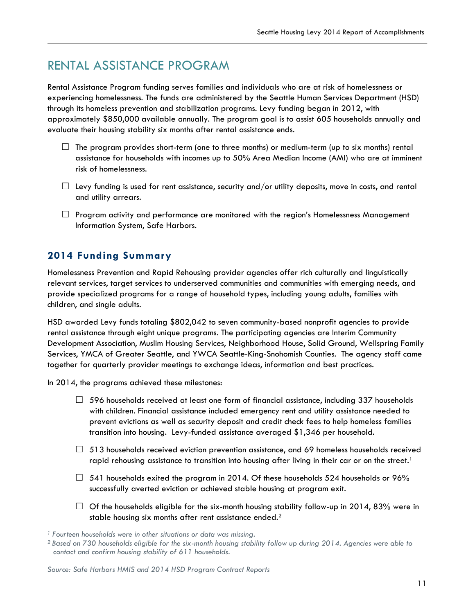## RENTAL ASSISTANCE PROGRAM

Rental Assistance Program funding serves families and individuals who are at risk of homelessness or experiencing homelessness. The funds are administered by the Seattle Human Services Department (HSD) through its homeless prevention and stabilization programs. Levy funding began in 2012, with approximately \$850,000 available annually. The program goal is to assist 605 households annually and evaluate their housing stability six months after rental assistance ends.

- $\Box$  The program provides short-term (one to three months) or medium-term (up to six months) rental assistance for households with incomes up to 50% Area Median Income (AMI) who are at imminent risk of homelessness.
- $\Box$  Levy funding is used for rent assistance, security and/or utility deposits, move in costs, and rental and utility arrears.
- $\Box$  Program activity and performance are monitored with the region's Homelessness Management Information System, Safe Harbors.

### **2014 Funding Summary**

Homelessness Prevention and Rapid Rehousing provider agencies offer rich culturally and linguistically relevant services, target services to underserved communities and communities with emerging needs, and provide specialized programs for a range of household types, including young adults, families with children, and single adults.

HSD awarded Levy funds totaling \$802,042 to seven community-based nonprofit agencies to provide rental assistance through eight unique programs. The participating agencies are Interim Community Development Association, Muslim Housing Services, Neighborhood House, Solid Ground, Wellspring Family Services, YMCA of Greater Seattle, and YWCA Seattle-King-Snohomish Counties. The agency staff came together for quarterly provider meetings to exchange ideas, information and best practices.

In 2014, the programs achieved these milestones:

- $\Box$  596 households received at least one form of financial assistance, including 337 households with children. Financial assistance included emergency rent and utility assistance needed to prevent evictions as well as security deposit and credit check fees to help homeless families transition into housing. Levy-funded assistance averaged \$1,346 per household.
- $\Box$  513 households received eviction prevention assistance, and 69 homeless households received rapid rehousing assistance to transition into housing after living in their car or on the street.<sup>1</sup>
- $\Box$  541 households exited the program in 2014. Of these households 524 households or 96% successfully averted eviction or achieved stable housing at program exit.
- $\Box$  Of the households eligible for the six-month housing stability follow-up in 2014, 83% were in stable housing six months after rent assistance ended.<sup>2</sup>

*<sup>1</sup> Fourteen households were in other situations or data was missing.*

*<sup>2</sup> Based on 730 households eligible for the six-month housing stability follow up during 2014. Agencies were able to contact and confirm housing stability of 611 households.* 

*Source: Safe Harbors HMIS and 2014 HSD Program Contract Reports*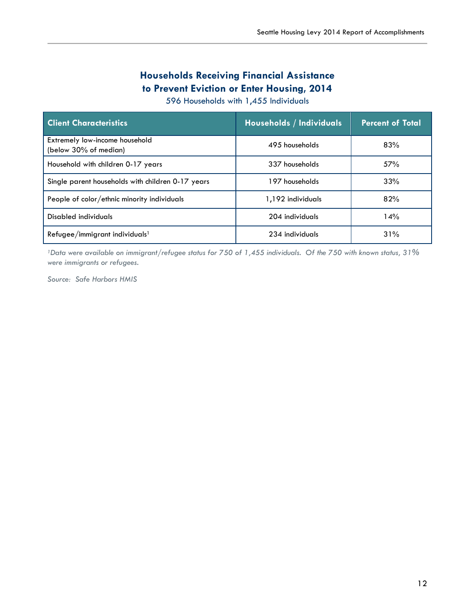## **Households Receiving Financial Assistance to Prevent Eviction or Enter Housing, 2014**

596 Households with 1,455 Individuals

| <b>Client Characteristics</b>                           | <b>Households / Individuals</b> | <b>Percent of Total</b> |
|---------------------------------------------------------|---------------------------------|-------------------------|
| Extremely low-income household<br>(below 30% of median) | 495 households                  | 83%                     |
| Household with children 0-17 years                      | 337 households                  | 57%                     |
| Single parent households with children 0-17 years       | 197 households                  | 33%                     |
| People of color/ethnic minority individuals             | 1,192 individuals               | 82%                     |
| Disabled individuals                                    | 204 individuals                 | 14%                     |
| Refugee/immigrant individuals <sup>1</sup>              | 234 individuals                 | 31%                     |

*1Data were available on immigrant/refugee status for 750 of 1,455 individuals. Of the 750 with known status, 31% were immigrants or refugees.*

*Source: Safe Harbors HMIS*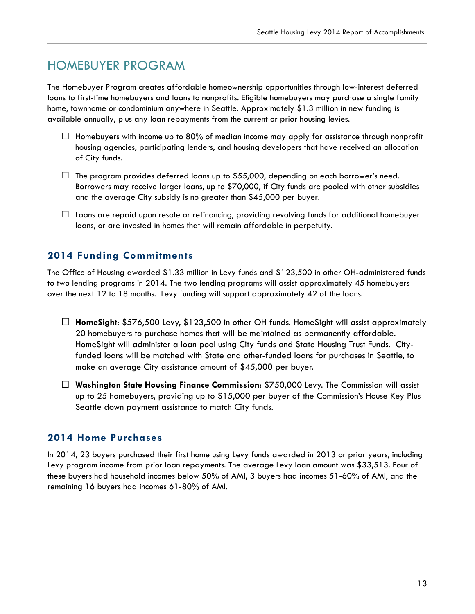## HOMEBUYER PROGRAM

The Homebuyer Program creates affordable homeownership opportunities through low-interest deferred loans to first-time homebuyers and loans to nonprofits. Eligible homebuyers may purchase a single family home, townhome or condominium anywhere in Seattle. Approximately \$1.3 million in new funding is available annually, plus any loan repayments from the current or prior housing levies.

- $\Box$  Homebuyers with income up to 80% of median income may apply for assistance through nonprofit housing agencies, participating lenders, and housing developers that have received an allocation of City funds.
- $\Box$  The program provides deferred loans up to \$55,000, depending on each borrower's need. Borrowers may receive larger loans, up to \$70,000, if City funds are pooled with other subsidies and the average City subsidy is no greater than \$45,000 per buyer.
- $\Box$  Loans are repaid upon resale or refinancing, providing revolving funds for additional homebuyer loans, or are invested in homes that will remain affordable in perpetuity.

### **2014 Funding Commitments**

The Office of Housing awarded \$1.33 million in Levy funds and \$123,500 in other OH-administered funds to two lending programs in 2014. The two lending programs will assist approximately 45 homebuyers over the next 12 to 18 months. Levy funding will support approximately 42 of the loans.

- **HomeSight**: \$576,500 Levy, \$123,500 in other OH funds. HomeSight will assist approximately 20 homebuyers to purchase homes that will be maintained as permanently affordable. HomeSight will administer a loan pool using City funds and State Housing Trust Funds. Cityfunded loans will be matched with State and other-funded loans for purchases in Seattle, to make an average City assistance amount of \$45,000 per buyer.
- **Washington State Housing Finance Commission**: \$750,000 Levy. The Commission will assist up to 25 homebuyers, providing up to \$15,000 per buyer of the Commission's House Key Plus Seattle down payment assistance to match City funds.

### **2014 Home Purchases**

In 2014, 23 buyers purchased their first home using Levy funds awarded in 2013 or prior years, including Levy program income from prior loan repayments. The average Levy loan amount was \$33,513. Four of these buyers had household incomes below 50% of AMI, 3 buyers had incomes 51-60% of AMI, and the remaining 16 buyers had incomes 61-80% of AMI.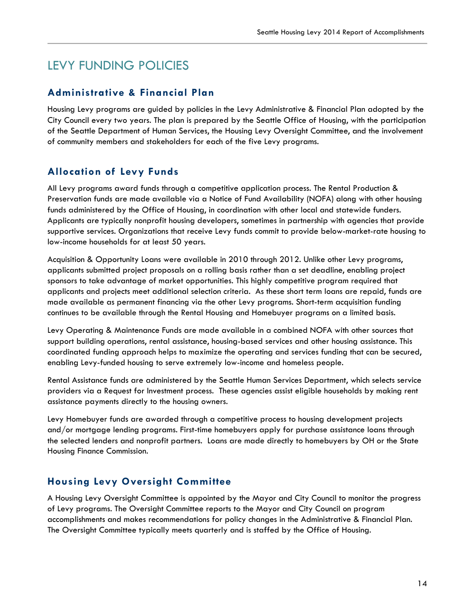## LEVY FUNDING POLICIES

#### **Administrative & Financial Plan**

Housing Levy programs are guided by policies in the Levy Administrative & Financial Plan adopted by the City Council every two years. The plan is prepared by the Seattle Office of Housing, with the participation of the Seattle Department of Human Services, the Housing Levy Oversight Committee, and the involvement of community members and stakeholders for each of the five Levy programs.

### **Allocation of Levy Funds**

All Levy programs award funds through a competitive application process. The Rental Production & Preservation funds are made available via a Notice of Fund Availability (NOFA) along with other housing funds administered by the Office of Housing, in coordination with other local and statewide funders. Applicants are typically nonprofit housing developers, sometimes in partnership with agencies that provide supportive services. Organizations that receive Levy funds commit to provide below-market-rate housing to low-income households for at least 50 years.

Acquisition & Opportunity Loans were available in 2010 through 2012. Unlike other Levy programs, applicants submitted project proposals on a rolling basis rather than a set deadline, enabling project sponsors to take advantage of market opportunities. This highly competitive program required that applicants and projects meet additional selection criteria. As these short term loans are repaid, funds are made available as permanent financing via the other Levy programs. Short-term acquisition funding continues to be available through the Rental Housing and Homebuyer programs on a limited basis.

Levy Operating & Maintenance Funds are made available in a combined NOFA with other sources that support building operations, rental assistance, housing-based services and other housing assistance. This coordinated funding approach helps to maximize the operating and services funding that can be secured, enabling Levy-funded housing to serve extremely low-income and homeless people.

Rental Assistance funds are administered by the Seattle Human Services Department, which selects service providers via a Request for Investment process. These agencies assist eligible households by making rent assistance payments directly to the housing owners.

Levy Homebuyer funds are awarded through a competitive process to housing development projects and/or mortgage lending programs. First-time homebuyers apply for purchase assistance loans through the selected lenders and nonprofit partners. Loans are made directly to homebuyers by OH or the State Housing Finance Commission.

### **Housing Levy Oversight Committee**

A Housing Levy Oversight Committee is appointed by the Mayor and City Council to monitor the progress of Levy programs. The Oversight Committee reports to the Mayor and City Council on program accomplishments and makes recommendations for policy changes in the Administrative & Financial Plan. The Oversight Committee typically meets quarterly and is staffed by the Office of Housing.